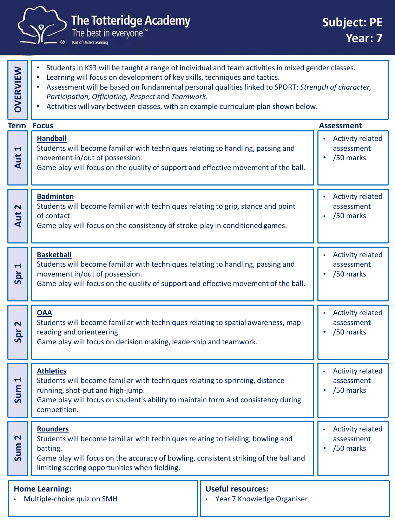

| <b>OVERVIEW</b>                                                                                                | Students in KS3 will be taught a range of individual and team activities in mixed gender classes.<br>Learning will focus on development of key skills, techniques and tactics.<br>Assessment will be based on fundamental personal qualities linked to SPORT: Strength of character,<br>$\bullet$<br>Participation, Officiating, Respect and Teamwork.<br>Activities will vary between classes, with an example curriculum plan shown below. |                                                    |                                                    |
|----------------------------------------------------------------------------------------------------------------|----------------------------------------------------------------------------------------------------------------------------------------------------------------------------------------------------------------------------------------------------------------------------------------------------------------------------------------------------------------------------------------------------------------------------------------------|----------------------------------------------------|----------------------------------------------------|
| <b>Term</b>                                                                                                    | <b>Focus</b>                                                                                                                                                                                                                                                                                                                                                                                                                                 |                                                    | <b>Assessment</b>                                  |
| $\blacktriangleleft$<br>Aut                                                                                    | <b>Handball</b><br>Students will become familiar with techniques relating to handling, passing and<br>movement in/out of possession.<br>Game play will focus on the quality of support and effective movement of the ball.                                                                                                                                                                                                                   |                                                    | <b>Activity related</b><br>assessment<br>/50 marks |
| $\mathbf{\Omega}$<br>Aut                                                                                       | <b>Badminton</b><br>Students will become familiar with techniques relating to grip, stance and point<br>of contact.<br>Game play will focus on the consistency of stroke-play in conditioned games.                                                                                                                                                                                                                                          | <b>Activity related</b><br>assessment<br>/50 marks |                                                    |
| $\blacktriangleleft$<br>Spr                                                                                    | <b>Basketball</b><br>Students will become familiar with techniques relating to handling, passing and<br>movement in/out of possession.<br>Game play will focus on the quality of support and effective movement of the ball.                                                                                                                                                                                                                 |                                                    | <b>Activity related</b><br>assessment<br>/50 marks |
| $\overline{\mathbf{r}}$<br>Spr                                                                                 | <b>OAA</b><br>Students will become familiar with techniques relating to spatial awareness, map-<br>reading and orienteering.<br>Game play will focus on decision making, leadership and teamwork.                                                                                                                                                                                                                                            |                                                    | <b>Activity related</b><br>assessment<br>/50 marks |
| 1<br>$\mathsf{E}$<br>$\overline{\mathsf{su}}$                                                                  | <b>Athletics</b><br>Students will become familiar with techniques relating to sprinting, distance<br>running, shot-put and high-jump.<br>Game play will focus on student's ability to maintain form and consistency during<br>competition.                                                                                                                                                                                                   |                                                    | <b>Activity related</b><br>assessment<br>/50 marks |
| $\mathbf{\Omega}$<br>Sum                                                                                       | <b>Rounders</b><br>Students will become familiar with techniques relating to fielding, bowling and<br>batting.<br>Game play will focus on the accuracy of bowling, consistent striking of the ball and<br>limiting scoring opportunities when fielding.                                                                                                                                                                                      |                                                    | <b>Activity related</b><br>assessment<br>/50 marks |
| <b>Useful resources:</b><br><b>Home Learning:</b><br>Year 7 Knowledge Organiser<br>Multiple-choice quiz on SMH |                                                                                                                                                                                                                                                                                                                                                                                                                                              |                                                    |                                                    |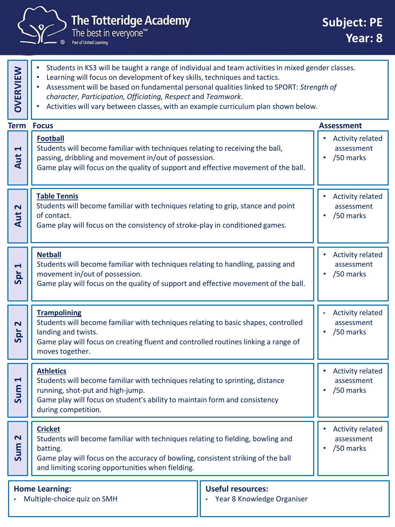

|                                                     | The best in everyone $\mathbb {^{\mathsf{m}}}$<br>Part of United Learning                                                                                                                                                                                                                                                                                                                                                       | <b>Year: 8</b>                                     |
|-----------------------------------------------------|---------------------------------------------------------------------------------------------------------------------------------------------------------------------------------------------------------------------------------------------------------------------------------------------------------------------------------------------------------------------------------------------------------------------------------|----------------------------------------------------|
| <b>OVERVIEW</b>                                     | Students in KS3 will be taught a range of individual and team activities in mixed gender classes.<br>Learning will focus on development of key skills, techniques and tactics.<br>Assessment will be based on fundamental personal qualities linked to SPORT: Strength of<br>character, Participation, Officiating, Respect and Teamwork.<br>Activities will vary between classes, with an example curriculum plan shown below. |                                                    |
| <b>Term</b>                                         | <b>Focus</b>                                                                                                                                                                                                                                                                                                                                                                                                                    | <b>Assessment</b>                                  |
| $\blacktriangleright$<br>Aut                        | <b>Football</b><br>Students will become familiar with techniques relating to receiving the ball,<br>passing, dribbling and movement in/out of possession.<br>Game play will focus on the quality of support and effective movement of the ball.                                                                                                                                                                                 | <b>Activity related</b><br>assessment<br>/50 marks |
| $\overline{\mathbf{C}}$<br>Aut                      | <b>Table Tennis</b><br>Students will become familiar with techniques relating to grip, stance and point<br>of contact.<br>Game play will focus on the consistency of stroke-play in conditioned games.                                                                                                                                                                                                                          | <b>Activity related</b><br>assessment<br>/50 marks |
| $\blacktriangleright$<br>$\overline{q}$<br>$\Omega$ | <b>Netball</b><br>Students will become familiar with techniques relating to handling, passing and<br>movement in/out of possession.<br>Game play will focus on the quality of support and effective movement of the ball.                                                                                                                                                                                                       | <b>Activity related</b><br>assessment<br>/50 marks |
|                                                     | <b>Trampolining</b>                                                                                                                                                                                                                                                                                                                                                                                                             | Activity related                                   |

| $\mathbf{\Omega}$<br>Spr  | . <b>.</b><br>Students will become familiar with techniques relating to basic shapes, controlled<br>landing and twists.<br>Game play will focus on creating fluent and controlled routines linking a range of<br>moves together. | assessment<br>/50 marks                            |
|---------------------------|----------------------------------------------------------------------------------------------------------------------------------------------------------------------------------------------------------------------------------|----------------------------------------------------|
| $\blacktriangleleft$<br>٤ | <b>Athletics</b><br>Students will become familiar with techniques relating to sprinting, distance<br>running, shot-put and high-jump.                                                                                            | <b>Activity related</b><br>assessment<br>/50 marks |

Game play will focus on student's ability to maintain form and consistency during competition. <u>ທ</u>້ **Cricket** Students will become familiar with techniques relating to fielding, bowling and batting. Game play will focus on the accuracy of bowling, consistent striking of the ball and limiting scoring opportunities when fielding. • Activity related assessment • /50 marks **Sum 2**

**Home Learning:**

• Multiple-choice quiz on SMH

## **Useful resources:**

• Year 8 Knowledge Organiser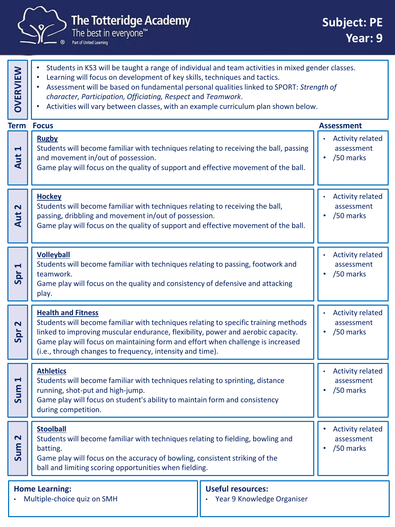

**OVERVIEW**

Part of United Learning

- Students in KS3 will be taught a range of individual and team activities in mixed gender classes.
	- Learning will focus on development of key skills, techniques and tactics.
	- Assessment will be based on fundamental personal qualities linked to SPORT: *Strength of character, Participation, Officiating, Respect* and *Teamwork*.
	- Activities will vary between classes, with an example curriculum plan shown below.

|                                                                                                                | <b>Term Focus</b>                                                                                                                                                                                                                                                                                                                                    |                                                    | <b>Assessment</b>                                  |
|----------------------------------------------------------------------------------------------------------------|------------------------------------------------------------------------------------------------------------------------------------------------------------------------------------------------------------------------------------------------------------------------------------------------------------------------------------------------------|----------------------------------------------------|----------------------------------------------------|
| 1<br><b>Aut</b>                                                                                                | <b>Rugby</b><br>Students will become familiar with techniques relating to receiving the ball, passing<br>and movement in/out of possession.<br>Game play will focus on the quality of support and effective movement of the ball.                                                                                                                    |                                                    | <b>Activity related</b><br>assessment<br>/50 marks |
| $\overline{\mathbf{N}}$<br>Aut                                                                                 | <b>Hockey</b><br>Students will become familiar with techniques relating to receiving the ball,<br>passing, dribbling and movement in/out of possession.<br>Game play will focus on the quality of support and effective movement of the ball.                                                                                                        | <b>Activity related</b><br>assessment<br>/50 marks |                                                    |
| 1<br>Spr                                                                                                       | <b>Volleyball</b><br>Students will become familiar with techniques relating to passing, footwork and<br>teamwork.<br>Game play will focus on the quality and consistency of defensive and attacking<br>play.                                                                                                                                         | <b>Activity related</b><br>assessment<br>/50 marks |                                                    |
| $\overline{\mathbf{N}}$<br>Spr                                                                                 | <b>Health and Fitness</b><br>Students will become familiar with techniques relating to specific training methods<br>linked to improving muscular endurance, flexibility, power and aerobic capacity.<br>Game play will focus on maintaining form and effort when challenge is increased<br>(i.e., through changes to frequency, intensity and time). |                                                    | <b>Activity related</b><br>assessment<br>/50 marks |
| $\blacktriangleleft$<br>Sum                                                                                    | <b>Athletics</b><br>Students will become familiar with techniques relating to sprinting, distance<br>running, shot-put and high-jump.<br>Game play will focus on student's ability to maintain form and consistency<br>during competition.                                                                                                           |                                                    | <b>Activity related</b><br>assessment<br>/50 marks |
| $\overline{\mathbf{N}}$<br>Sum                                                                                 | <b>Stoolball</b><br>Students will become familiar with techniques relating to fielding, bowling and<br>batting.<br>Game play will focus on the accuracy of bowling, consistent striking of the<br>ball and limiting scoring opportunities when fielding.                                                                                             |                                                    | <b>Activity related</b><br>assessment<br>/50 marks |
| <b>Useful resources:</b><br><b>Home Learning:</b><br>Year 9 Knowledge Organiser<br>Multiple-choice quiz on SMH |                                                                                                                                                                                                                                                                                                                                                      |                                                    |                                                    |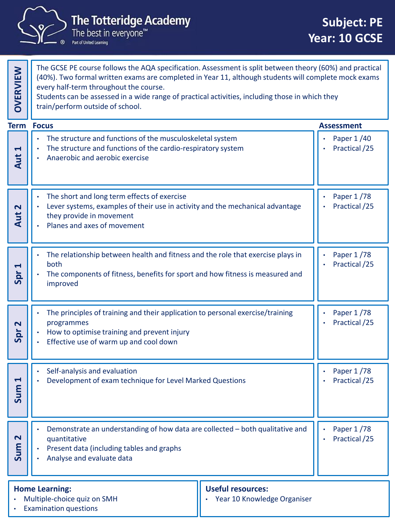

| <b>OVERVIEW</b>                                   | The GCSE PE course follows the AQA specification. Assessment is split between theory (60%) and practical<br>(40%). Two formal written exams are completed in Year 11, although students will complete mock exams<br>every half-term throughout the course.<br>Students can be assessed in a wide range of practical activities, including those in which they<br>train/perform outside of school. |                             |                             |  |
|---------------------------------------------------|---------------------------------------------------------------------------------------------------------------------------------------------------------------------------------------------------------------------------------------------------------------------------------------------------------------------------------------------------------------------------------------------------|-----------------------------|-----------------------------|--|
| <b>Term</b>                                       | <b>Focus</b>                                                                                                                                                                                                                                                                                                                                                                                      |                             | <b>Assessment</b>           |  |
| $\blacktriangleleft$<br>Aut                       | The structure and functions of the musculoskeletal system<br>The structure and functions of the cardio-respiratory system<br>Anaerobic and aerobic exercise                                                                                                                                                                                                                                       |                             | Paper 1/40<br>Practical /25 |  |
| Aut 2                                             | The short and long term effects of exercise<br>Lever systems, examples of their use in activity and the mechanical advantage<br>they provide in movement<br>Planes and axes of movement                                                                                                                                                                                                           | Paper 1/78<br>Practical /25 |                             |  |
| $\blacktriangleleft$<br>Spr                       | The relationship between health and fitness and the role that exercise plays in<br>both<br>The components of fitness, benefits for sport and how fitness is measured and<br>improved                                                                                                                                                                                                              |                             | Paper 1/78<br>Practical /25 |  |
| $\overline{\mathbf{r}}$<br>Spr                    | The principles of training and their application to personal exercise/training<br>programmes<br>How to optimise training and prevent injury<br>Effective use of warm up and cool down                                                                                                                                                                                                             |                             | Paper 1/78<br>Practical /25 |  |
| Ч<br>E<br><u>G</u>                                | Self-analysis and evaluation<br>Development of exam technique for Level Marked Questions                                                                                                                                                                                                                                                                                                          |                             | Paper 1/78<br>Practical /25 |  |
| $\mathbf{\Omega}$<br>Sum                          | Demonstrate an understanding of how data are collected - both qualitative and<br>quantitative<br>Present data (including tables and graphs<br>Analyse and evaluate data                                                                                                                                                                                                                           |                             | Paper 1/78<br>Practical /25 |  |
| <b>Useful resources:</b><br><b>Home Learning:</b> |                                                                                                                                                                                                                                                                                                                                                                                                   |                             |                             |  |

- Multiple-choice quiz on SMH
- 
- Year 10 Knowledge Organiser

**Examination questions**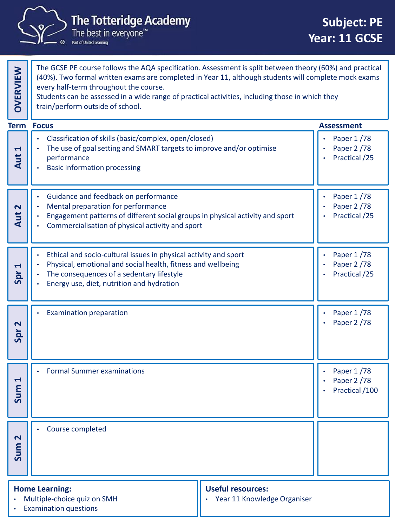

| <b>OVERVIEW</b>             | The GCSE PE course follows the AQA specification. Assessment is split between theory (60%) and practical<br>(40%). Two formal written exams are completed in Year 11, although students will complete mock exams<br>every half-term throughout the course.<br>Students can be assessed in a wide range of practical activities, including those in which they<br>train/perform outside of school. |  |                                             |
|-----------------------------|---------------------------------------------------------------------------------------------------------------------------------------------------------------------------------------------------------------------------------------------------------------------------------------------------------------------------------------------------------------------------------------------------|--|---------------------------------------------|
| Term                        | <b>Focus</b>                                                                                                                                                                                                                                                                                                                                                                                      |  | <b>Assessment</b>                           |
| $\blacktriangleleft$<br>Aut | Classification of skills (basic/complex, open/closed)<br>The use of goal setting and SMART targets to improve and/or optimise<br>performance<br><b>Basic information processing</b>                                                                                                                                                                                                               |  | Paper 1/78<br>Paper 2 /78<br>Practical /25  |
| 2<br>Aut                    | Guidance and feedback on performance<br>Mental preparation for performance<br>Engagement patterns of different social groups in physical activity and sport<br>Commercialisation of physical activity and sport                                                                                                                                                                                   |  | Paper 1/78<br>Paper 2 / 78<br>Practical /25 |
| Spr <sub>1</sub>            | Ethical and socio-cultural issues in physical activity and sport<br>Physical, emotional and social health, fitness and wellbeing<br>The consequences of a sedentary lifestyle<br>Energy use, diet, nutrition and hydration                                                                                                                                                                        |  | Paper 1/78<br>Paper 2 /78<br>Practical /25  |
| 2<br>Spr                    | <b>Examination preparation</b>                                                                                                                                                                                                                                                                                                                                                                    |  | Paper 1/78<br>Paper 2 /78                   |
| Н<br>Sum                    | <b>Formal Summer examinations</b>                                                                                                                                                                                                                                                                                                                                                                 |  | Paper 1/78<br>Paper 2 /78<br>Practical /100 |
| $\mathbf{\Omega}$<br>Sum    | Course completed                                                                                                                                                                                                                                                                                                                                                                                  |  |                                             |
|                             | <b>Useful resources:</b><br><b>Home Learning:</b><br>Multiple-choice quiz on SMH<br>Year 11 Knowledge Organiser<br><b>Examination questions</b>                                                                                                                                                                                                                                                   |  |                                             |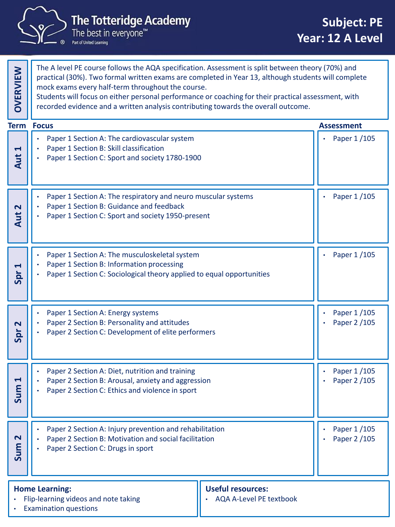

The Totteridge Academy<br>The best in everyone™<br>Par of United Learning

| <b>OVERVIEW</b>                                                                                                             | The A level PE course follows the AQA specification. Assessment is split between theory (70%) and<br>practical (30%). Two formal written exams are completed in Year 13, although students will complete<br>mock exams every half-term throughout the course.<br>Students will focus on either personal performance or coaching for their practical assessment, with<br>recorded evidence and a written analysis contributing towards the overall outcome. |  |                               |  |
|-----------------------------------------------------------------------------------------------------------------------------|------------------------------------------------------------------------------------------------------------------------------------------------------------------------------------------------------------------------------------------------------------------------------------------------------------------------------------------------------------------------------------------------------------------------------------------------------------|--|-------------------------------|--|
| <b>Term</b>                                                                                                                 | <b>Focus</b>                                                                                                                                                                                                                                                                                                                                                                                                                                               |  | <b>Assessment</b>             |  |
| 1<br>Aut                                                                                                                    | Paper 1 Section A: The cardiovascular system<br>Paper 1 Section B: Skill classification<br>Paper 1 Section C: Sport and society 1780-1900                                                                                                                                                                                                                                                                                                                  |  | Paper 1/105                   |  |
| Aut 2                                                                                                                       | Paper 1 Section A: The respiratory and neuro muscular systems<br>Paper 1 Section B: Guidance and feedback<br>Paper 1 Section C: Sport and society 1950-present                                                                                                                                                                                                                                                                                             |  | Paper 1/105                   |  |
| 1<br>Spr                                                                                                                    | Paper 1 Section A: The musculoskeletal system<br>Paper 1 Section B: Information processing<br>Paper 1 Section C: Sociological theory applied to equal opportunities                                                                                                                                                                                                                                                                                        |  | Paper 1/105                   |  |
| 2<br>Spr                                                                                                                    | Paper 1 Section A: Energy systems<br>Paper 2 Section B: Personality and attitudes<br>Paper 2 Section C: Development of elite performers                                                                                                                                                                                                                                                                                                                    |  | Paper 1/105<br>Paper 2 /105   |  |
| $\blacktriangleleft$<br>ε<br>႕                                                                                              | Paper 2 Section A: Diet, nutrition and training<br>Paper 2 Section B: Arousal, anxiety and aggression<br>Paper 2 Section C: Ethics and violence in sport                                                                                                                                                                                                                                                                                                   |  | Paper 1/105<br>Paper 2 / 105  |  |
| $\overline{\mathbf{r}}$<br>Sum                                                                                              | Paper 2 Section A: Injury prevention and rehabilitation<br>Paper 2 Section B: Motivation and social facilitation<br>Paper 2 Section C: Drugs in sport                                                                                                                                                                                                                                                                                                      |  | Paper 1 / 105<br>Paper 2 /105 |  |
| <b>Useful resources:</b><br><b>Home Learning:</b><br><b>AQA A-Level PE textbook</b><br>Flip-learning videos and note taking |                                                                                                                                                                                                                                                                                                                                                                                                                                                            |  |                               |  |

• Examination questions